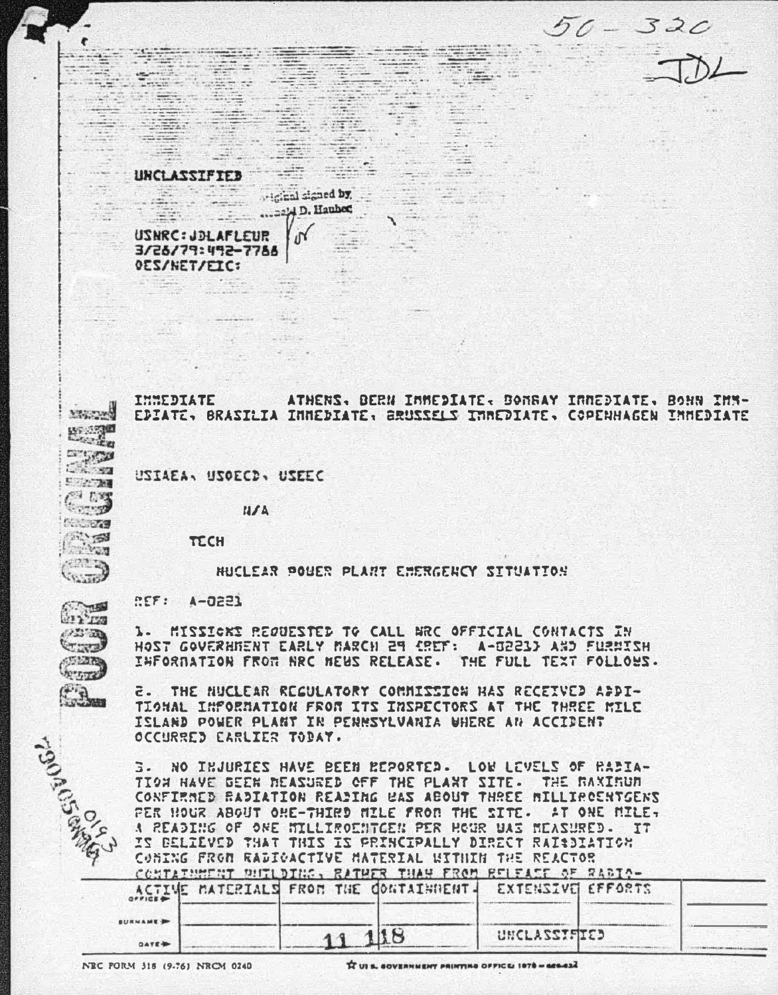$50 - 320$ 



32 F

 $\mathbb{Z}$ 

 $\sim$   $\sim$   $\sim$ 

 $\frac{1}{\sqrt{2}}\sum_{i=1}^{n}\frac{1}{\sqrt{2}}\sum_{i=1}^{n}\frac{1}{\sqrt{2}}\sum_{i=1}^{n}\frac{1}{\sqrt{2}}\sum_{i=1}^{n}\frac{1}{\sqrt{2}}\sum_{i=1}^{n}\frac{1}{\sqrt{2}}\sum_{i=1}^{n}\frac{1}{\sqrt{2}}\sum_{i=1}^{n}\frac{1}{\sqrt{2}}\sum_{i=1}^{n}\frac{1}{\sqrt{2}}\sum_{i=1}^{n}\frac{1}{\sqrt{2}}\sum_{i=1}^{n}\frac{1}{\sqrt{2}}\sum_{i=1}^{n}\frac{1}{\sqrt{2}}\$ **Sheet Street** 

and a

 $2.2 - 1.$ 

with the

 $\mathcal{L}=\mathcal{L}=\mathcal{L}$  , where  $\mathcal{L}=\mathcal{L}$ 

USIAEA, USOECD, USEEC

**N/A** 

 $10<sup>6</sup>$ 

 $\frac{1}{2}$  is standed by  $\frac{1}{2}$ 

ta lei

 $\frac{1}{2}$ 

 $\sim$ 

Se S

UNCLASSIFIED - - -

 $\frac{1}{2}$  D. Hauber

the College of

 $\mathcal{C}^{\text{max}}_{\text{max}}$ 

TECH

HUCLEAR POUER PLANT EMERGENCY SITUATION

**REF: A-0221** 

 $\epsilon$ 

 $\sim$ 

-50

日本 2019年  $C.53$ 

**New Street EXAMPLE** 

 $(22.3)$ 

**VOITED** 

 $m =$ 

22 RD **CONST** 

**SENTA** 

**NYTTE FR** 

 $\overline{\mathcal{L}_{\text{free}}}$  .

**Property of the Company's Company's Company's Company's Company's Company's Company's Company's Company's Company's Company's Company's Company's Company's Company's Company's Company's Company's Company's Company's Compa** 

All and the

**OES/NET/FIC:** 

USNRC: JOLAFLEUR 3/26/79:492-7788

1. MISSICKE REQUESTED TO CALL ARC OFFICIAL CONTACTS IN HOST GOVERHNENT EARLY MARCH 29 (REF: A-0221) AND FURNISH INFORMATION FROM NRC NEWS RELEASE. THE FULL TEXT FOLLOWS.

**E. THE NUCLEAR REGULATORY COMMISSION HAS RECEIVED APDI-**TIONAL INFORNATION FROM ITS INSPECTORS AT THE THREE MILE ISLAND POWER PLANT IN PENNSYLVANIA WHERE AN ACCIDENT OCCURRED EARLIER TODAY.

3. NO INJURIES HAVE BEEN REPORTED. LOW LEVELS OF RADIA-TION HAVE BEEN MEASURED OFF THE PLANT SITE. THE RAXIRUM CONFIRMED RADIATION READING WAS ABOUT THREE MILLIROENTGENS PER HOUR ABOUT OHE-THIRD MILE FROM THE SITE. AT ONE MILE. A READING OF ONE NILLIROENTGEN PER HOUR UAS NEASURED. IT IS BELIEVED THAT THIS IS PRINCIPALLY DIRECT RAINDIATION CONING FROM RADIOACTIVE MATERIAL UITHIN THE REACTOR NUTURELLY OUTLATER THROUGH WILLIE TRAN OFFICER AT BISTA

| $O^{\# \#1}$ CE |  | t strye preservative minister to permit the ville by at the bit. In an interactive international basic and the<br>ACTIVE MATERIALS FROM THE CONTAINMENT- EXTENSIVE EFFORTS |              |  |  |
|-----------------|--|----------------------------------------------------------------------------------------------------------------------------------------------------------------------------|--------------|--|--|
| <b>SURNAME</b>  |  |                                                                                                                                                                            |              |  |  |
| <b>DATE</b>     |  |                                                                                                                                                                            | UNCLASSIFIED |  |  |

NEC PORM 318 (9.761 NRCM 0240)

IT UI & GOVERNMENT PRINTING OFFICE: 1878 - 666-622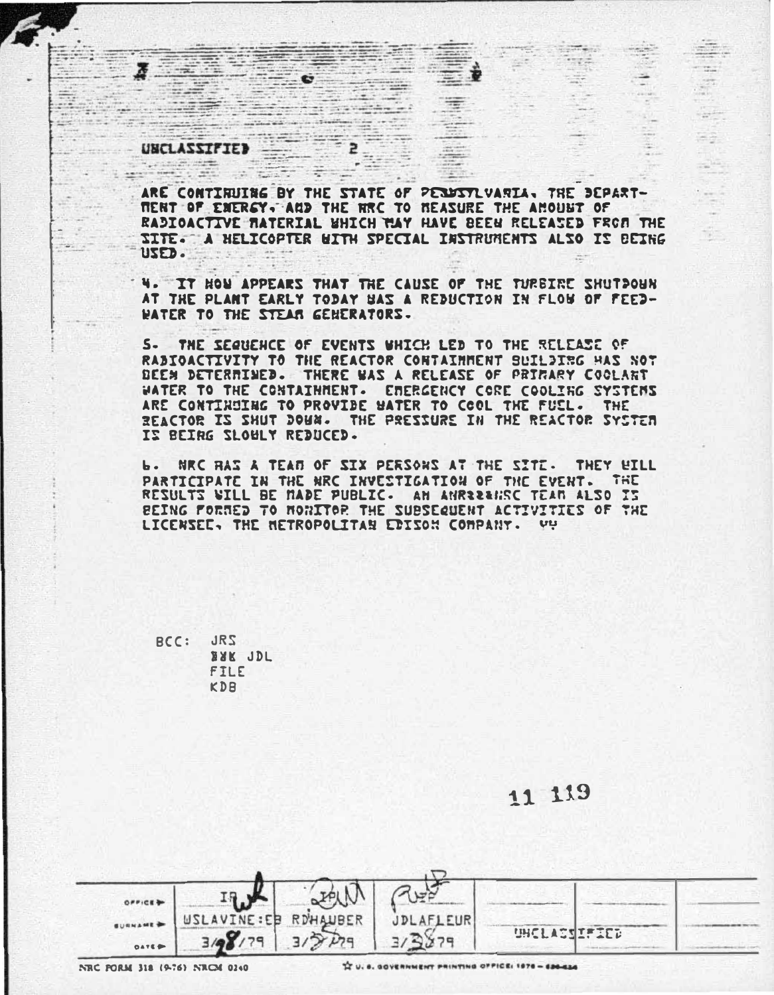## **UNCLASSIFIED** eccal marie.

 $\therefore$ 

 $1 - 200$ 

 $\overline{\mathbf{z}}$ 

 $= 8$ 

 $-7 -$ 

ARE CONTINUING BY THE STATE OF PERUSTLVANIA, THE DEPART-**MERT OF ENERGY. AND THE HRC TO NEASURE THE AMOUNT OF** RADIOACTIVE MATERIAL WHICH TAY HAVE BEEN RELEASED FROM THE IITE. A HELICOPTER WITH SPECIAL INSTRUMENTS ALSO IS BEING USED.

 $2_{\odot}$ 

**MARINE** 

 $-100 - 100$ 

 $\frac{1}{2}$ 

4. IT HOW APPEARS THAT THE CAUSE OF THE TURBIRE SHUTDOUN AT THE PLANT EARLY TODAY UAS A REDUCTION IN FLOW OF FEED-**WATER TO THE STEAR GENERATORS.** 

S. THE SECREACE OF EVENTS WHICH LED TO THE RELEASE OF RADIOACTIVITY TO THE REACTOR CONTAINMENT SUILDING HAS NOT DEEN DETERRINED. THERE WAS A RELEASE OF PRIFARY COOLANT WATER TO THE CONTAINMENT. EMERGENCY CORE COOLING SYSTEMS ARE CONTINUING TO PROVIDE HATER TO COOL THE FUEL. THE REACTOR IS SHUT DOUN. THE PRESSURE IN THE REACTOR SYSTEM IZ BEIRG SLOULY REDUCED.

Ь. NRC HAS A TEAN OF SIX PERSONS AT THE SITE. THEY **HTLL** PARTICIPATE IN THE NRC INVESTIGATION OF THE EVENT. THE RESULTS WILL BE MADE PUBLIC. AN ANRESSING TEAM ALSO IS BEING FORMED TO MONITOR THE SUBSECUENT ACTIVITIES OF THE LICENSEE, THE METROPOLITAN EDISON COMPANY. VY

RCC: JRS **BAK JDL** FILE KDB

11 119